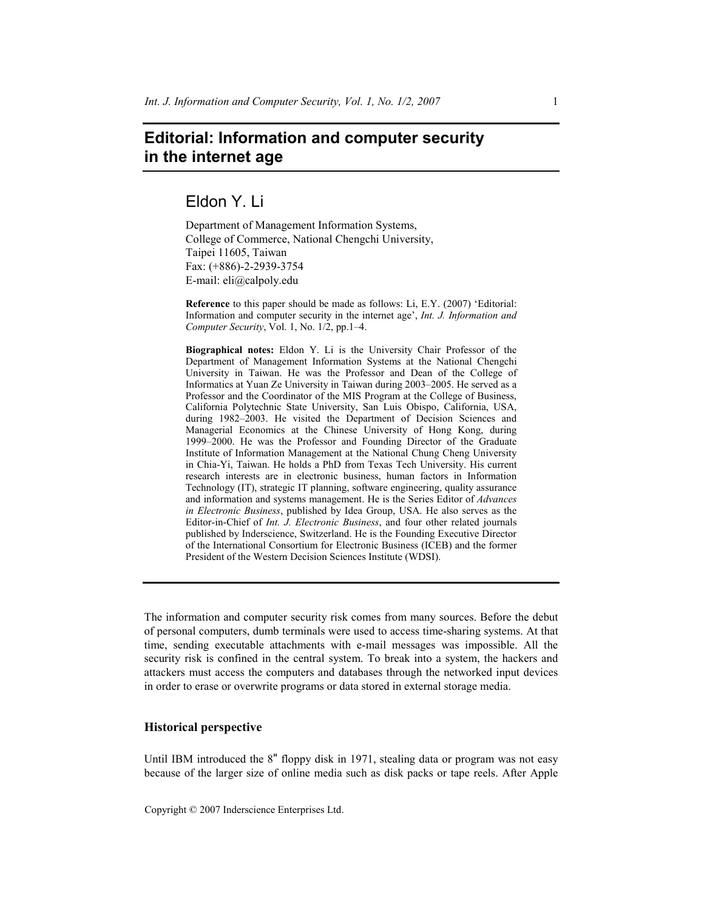# **Editorial: Information and computer security in the internet age**

Eldon Y. Li

Department of Management Information Systems, College of Commerce, National Chengchi University, Taipei 11605, Taiwan Fax: (+886)-2-2939-3754 E-mail: eli@calpoly.edu

**Reference** to this paper should be made as follows: Li, E.Y. (2007) 'Editorial: Information and computer security in the internet age', *Int. J. Information and Computer Security*, Vol. 1, No. 1/2, pp.1–4.

**Biographical notes:** Eldon Y. Li is the University Chair Professor of the Department of Management Information Systems at the National Chengchi University in Taiwan. He was the Professor and Dean of the College of Informatics at Yuan Ze University in Taiwan during 2003–2005. He served as a Professor and the Coordinator of the MIS Program at the College of Business, California Polytechnic State University, San Luis Obispo, California, USA, during 1982–2003. He visited the Department of Decision Sciences and Managerial Economics at the Chinese University of Hong Kong, during 1999–2000. He was the Professor and Founding Director of the Graduate Institute of Information Management at the National Chung Cheng University in Chia-Yi, Taiwan. He holds a PhD from Texas Tech University. His current research interests are in electronic business, human factors in Information Technology (IT), strategic IT planning, software engineering, quality assurance and information and systems management. He is the Series Editor of *Advances in Electronic Business*, published by Idea Group, USA. He also serves as the Editor-in-Chief of *Int. J. Electronic Business*, and four other related journals published by Inderscience, Switzerland. He is the Founding Executive Director of the International Consortium for Electronic Business (ICEB) and the former President of the Western Decision Sciences Institute (WDSI).

The information and computer security risk comes from many sources. Before the debut of personal computers, dumb terminals were used to access time-sharing systems. At that time, sending executable attachments with e-mail messages was impossible. All the security risk is confined in the central system. To break into a system, the hackers and attackers must access the computers and databases through the networked input devices in order to erase or overwrite programs or data stored in external storage media.

## **Historical perspective**

Until IBM introduced the 8" floppy disk in 1971, stealing data or program was not easy because of the larger size of online media such as disk packs or tape reels. After Apple

Copyright © 2007 Inderscience Enterprises Ltd.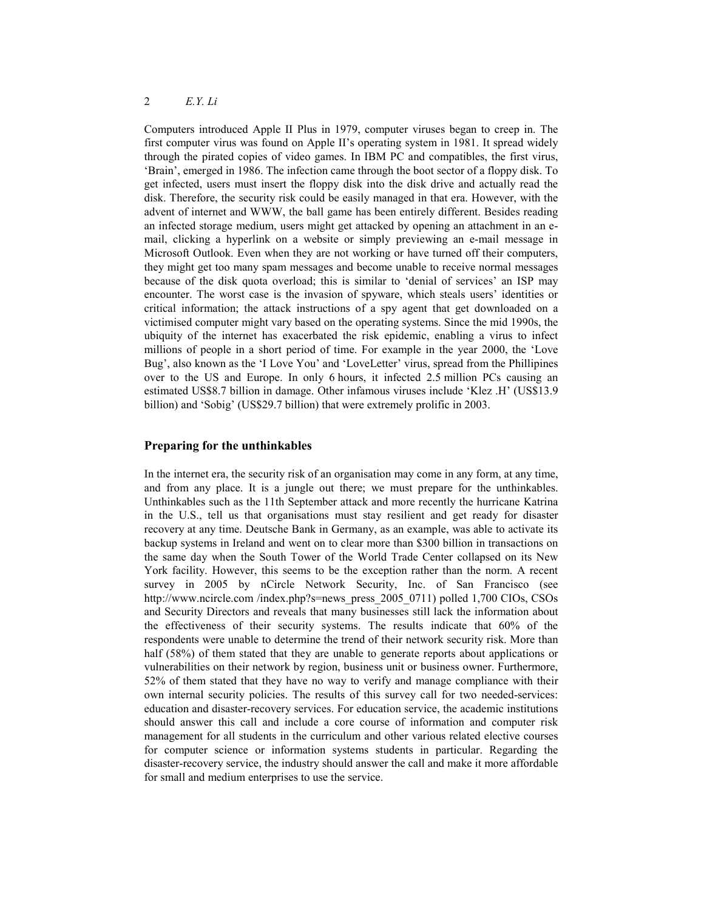# 2 *E.Y. Li*

Computers introduced Apple II Plus in 1979, computer viruses began to creep in. The first computer virus was found on Apple II's operating system in 1981. It spread widely through the pirated copies of video games. In IBM PC and compatibles, the first virus, 'Brain', emerged in 1986. The infection came through the boot sector of a floppy disk. To get infected, users must insert the floppy disk into the disk drive and actually read the disk. Therefore, the security risk could be easily managed in that era. However, with the advent of internet and WWW, the ball game has been entirely different. Besides reading an infected storage medium, users might get attacked by opening an attachment in an email, clicking a hyperlink on a website or simply previewing an e-mail message in Microsoft Outlook. Even when they are not working or have turned off their computers, they might get too many spam messages and become unable to receive normal messages because of the disk quota overload; this is similar to 'denial of services' an ISP may encounter. The worst case is the invasion of spyware, which steals users' identities or critical information; the attack instructions of a spy agent that get downloaded on a victimised computer might vary based on the operating systems. Since the mid 1990s, the ubiquity of the internet has exacerbated the risk epidemic, enabling a virus to infect millions of people in a short period of time. For example in the year 2000, the 'Love Bug', also known as the 'I Love You' and 'LoveLetter' virus, spread from the Phillipines over to the US and Europe. In only 6 hours, it infected 2.5 million PCs causing an estimated US\$8.7 billion in damage. Other infamous viruses include 'Klez .H' (US\$13.9 billion) and 'Sobig' (US\$29.7 billion) that were extremely prolific in 2003.

### **Preparing for the unthinkables**

In the internet era, the security risk of an organisation may come in any form, at any time, and from any place. It is a jungle out there; we must prepare for the unthinkables. Unthinkables such as the 11th September attack and more recently the hurricane Katrina in the U.S., tell us that organisations must stay resilient and get ready for disaster recovery at any time. Deutsche Bank in Germany, as an example, was able to activate its backup systems in Ireland and went on to clear more than \$300 billion in transactions on the same day when the South Tower of the World Trade Center collapsed on its New York facility. However, this seems to be the exception rather than the norm. A recent survey in 2005 by nCircle Network Security, Inc. of San Francisco (see http://www.ncircle.com /index.php?s=news\_press\_2005\_0711) polled 1,700 CIOs, CSOs and Security Directors and reveals that many businesses still lack the information about the effectiveness of their security systems. The results indicate that 60% of the respondents were unable to determine the trend of their network security risk. More than half (58%) of them stated that they are unable to generate reports about applications or vulnerabilities on their network by region, business unit or business owner. Furthermore, 52% of them stated that they have no way to verify and manage compliance with their own internal security policies. The results of this survey call for two needed-services: education and disaster-recovery services. For education service, the academic institutions should answer this call and include a core course of information and computer risk management for all students in the curriculum and other various related elective courses for computer science or information systems students in particular. Regarding the disaster-recovery service, the industry should answer the call and make it more affordable for small and medium enterprises to use the service.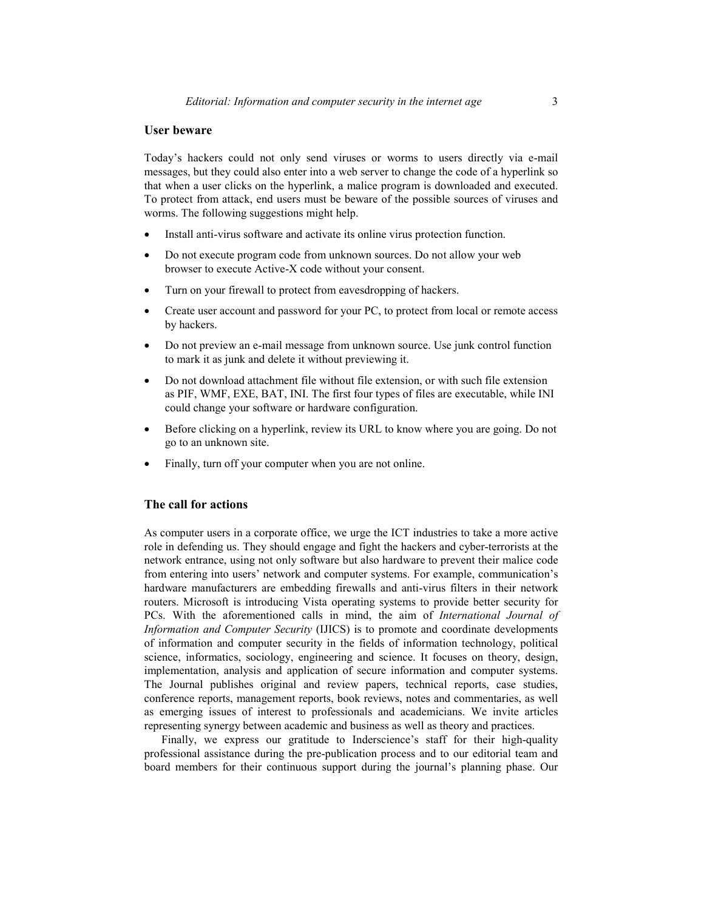#### **User beware**

Today's hackers could not only send viruses or worms to users directly via e-mail messages, but they could also enter into a web server to change the code of a hyperlink so that when a user clicks on the hyperlink, a malice program is downloaded and executed. To protect from attack, end users must be beware of the possible sources of viruses and worms. The following suggestions might help.

- Install anti-virus software and activate its online virus protection function.
- Do not execute program code from unknown sources. Do not allow your web browser to execute Active-X code without your consent.
- Turn on your firewall to protect from eavesdropping of hackers.
- Create user account and password for your PC, to protect from local or remote access by hackers.
- Do not preview an e-mail message from unknown source. Use junk control function to mark it as junk and delete it without previewing it.
- Do not download attachment file without file extension, or with such file extension as PIF, WMF, EXE, BAT, INI. The first four types of files are executable, while INI could change your software or hardware configuration.
- Before clicking on a hyperlink, review its URL to know where you are going. Do not go to an unknown site.
- Finally, turn off your computer when you are not online.

# **The call for actions**

As computer users in a corporate office, we urge the ICT industries to take a more active role in defending us. They should engage and fight the hackers and cyber-terrorists at the network entrance, using not only software but also hardware to prevent their malice code from entering into users' network and computer systems. For example, communication's hardware manufacturers are embedding firewalls and anti-virus filters in their network routers. Microsoft is introducing Vista operating systems to provide better security for PCs. With the aforementioned calls in mind, the aim of *International Journal of Information and Computer Security* (IJICS) is to promote and coordinate developments of information and computer security in the fields of information technology, political science, informatics, sociology, engineering and science. It focuses on theory, design, implementation, analysis and application of secure information and computer systems. The Journal publishes original and review papers, technical reports, case studies, conference reports, management reports, book reviews, notes and commentaries, as well as emerging issues of interest to professionals and academicians. We invite articles representing synergy between academic and business as well as theory and practices.

Finally, we express our gratitude to Inderscience's staff for their high-quality professional assistance during the pre-publication process and to our editorial team and board members for their continuous support during the journal's planning phase. Our